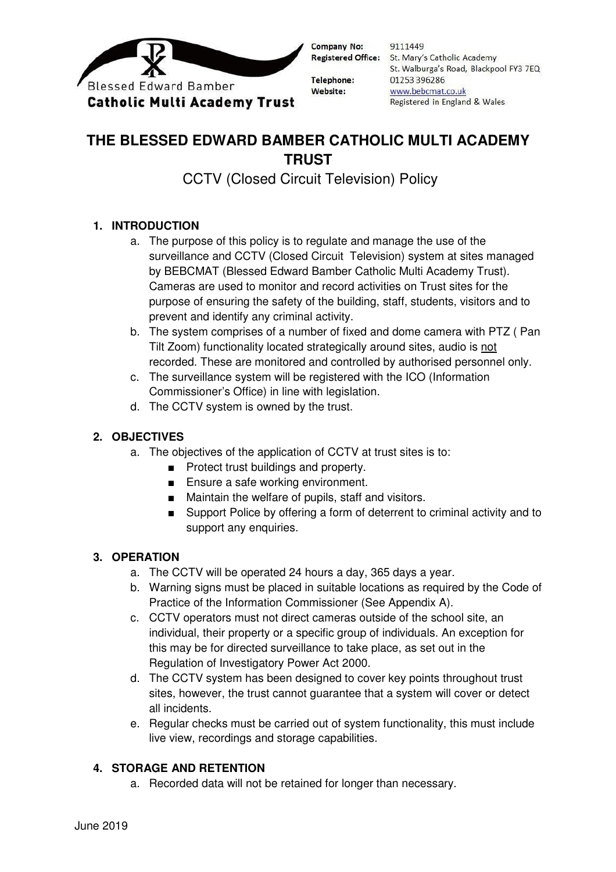

Company No:

**Telephone:** Website:

9111449 Registered Office: St. Mary's Catholic Academy St. Walburga's Road, Blackpool FY3 7EQ 01253 396286 www.bebcmat.co.uk Registered in England & Wales

# **THE BLESSED EDWARD BAMBER CATHOLIC MULTI ACADEMY TRUST**

CCTV (Closed Circuit Television) Policy

# **1. INTRODUCTION**

- a. The purpose of this policy is to regulate and manage the use of the surveillance and CCTV (Closed Circuit Television) system at sites managed by BEBCMAT (Blessed Edward Bamber Catholic Multi Academy Trust). Cameras are used to monitor and record activities on Trust sites for the purpose of ensuring the safety of the building, staff, students, visitors and to prevent and identify any criminal activity.
- b. The system comprises of a number of fixed and dome camera with PTZ ( Pan Tilt Zoom) functionality located strategically around sites, audio is not recorded. These are monitored and controlled by authorised personnel only.
- c. The surveillance system will be registered with the ICO (Information Commissioner's Office) in line with legislation.
- d. The CCTV system is owned by the trust.

# **2. OBJECTIVES**

- a. The objectives of the application of CCTV at trust sites is to:
	- Protect trust buildings and property.
	- Ensure a safe working environment.
	- Maintain the welfare of pupils, staff and visitors.
	- Support Police by offering a form of deterrent to criminal activity and to support any enquiries.

# **3. OPERATION**

- a. The CCTV will be operated 24 hours a day, 365 days a year.
- b. Warning signs must be placed in suitable locations as required by the Code of Practice of the Information Commissioner (See Appendix A).
- c. CCTV operators must not direct cameras outside of the school site, an individual, their property or a specific group of individuals. An exception for this may be for directed surveillance to take place, as set out in the Regulation of Investigatory Power Act 2000.
- d. The CCTV system has been designed to cover key points throughout trust sites, however, the trust cannot guarantee that a system will cover or detect all incidents.
- e. Regular checks must be carried out of system functionality, this must include live view, recordings and storage capabilities.

# **4. STORAGE AND RETENTION**

a. Recorded data will not be retained for longer than necessary.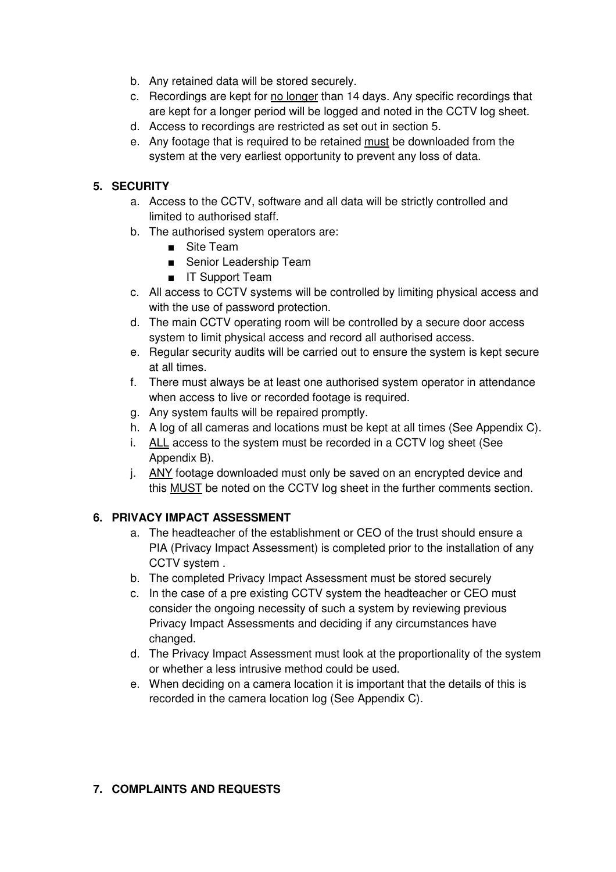- b. Any retained data will be stored securely.
- c. Recordings are kept for no longer than 14 days. Any specific recordings that are kept for a longer period will be logged and noted in the CCTV log sheet.
- d. Access to recordings are restricted as set out in section 5.
- e. Any footage that is required to be retained must be downloaded from the system at the very earliest opportunity to prevent any loss of data.

### **5. SECURITY**

- a. Access to the CCTV, software and all data will be strictly controlled and limited to authorised staff.
- b. The authorised system operators are:
	- Site Team
	- Senior Leadership Team
	- IT Support Team
- c. All access to CCTV systems will be controlled by limiting physical access and with the use of password protection.
- d. The main CCTV operating room will be controlled by a secure door access system to limit physical access and record all authorised access.
- e. Regular security audits will be carried out to ensure the system is kept secure at all times.
- f. There must always be at least one authorised system operator in attendance when access to live or recorded footage is required.
- g. Any system faults will be repaired promptly.
- h. A log of all cameras and locations must be kept at all times (See Appendix C).
- i. ALL access to the system must be recorded in a CCTV log sheet (See Appendix B).
- j. ANY footage downloaded must only be saved on an encrypted device and this MUST be noted on the CCTV log sheet in the further comments section.

# **6. PRIVACY IMPACT ASSESSMENT**

- a. The headteacher of the establishment or CEO of the trust should ensure a PIA (Privacy Impact Assessment) is completed prior to the installation of any CCTV system .
- b. The completed Privacy Impact Assessment must be stored securely
- c. In the case of a pre existing CCTV system the headteacher or CEO must consider the ongoing necessity of such a system by reviewing previous Privacy Impact Assessments and deciding if any circumstances have changed.
- d. The Privacy Impact Assessment must look at the proportionality of the system or whether a less intrusive method could be used.
- e. When deciding on a camera location it is important that the details of this is recorded in the camera location log (See Appendix C).

#### **7. COMPLAINTS AND REQUESTS**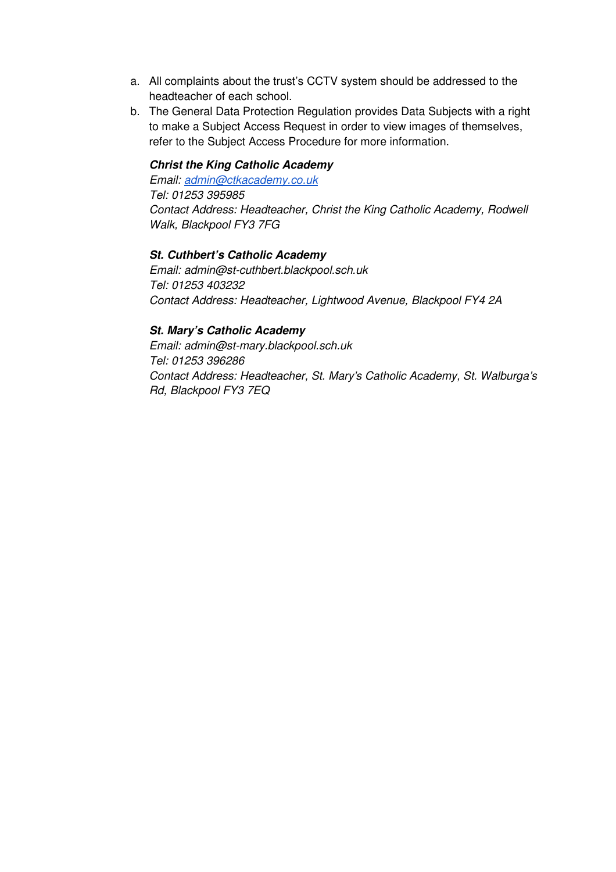- a. All complaints about the trust's CCTV system should be addressed to the headteacher of each school.
- b. The General Data Protection Regulation provides Data Subjects with a right to make a Subject Access Request in order to view images of themselves, refer to the Subject Access Procedure for more information.

#### **Christ the King Catholic Academy**

Email: admin@ctkacademy.co.uk Tel: 01253 395985 Contact Address: Headteacher, Christ the King Catholic Academy, Rodwell Walk, Blackpool FY3 7FG

#### **St. Cuthbert's Catholic Academy**

Email: admin@st-cuthbert.blackpool.sch.uk Tel: 01253 403232 Contact Address: Headteacher, Lightwood Avenue, Blackpool FY4 2A

#### **St. Mary's Catholic Academy**

Email: admin@st-mary.blackpool.sch.uk Tel: 01253 396286 Contact Address: Headteacher, St. Mary's Catholic Academy, St. Walburga's Rd, Blackpool FY3 7EQ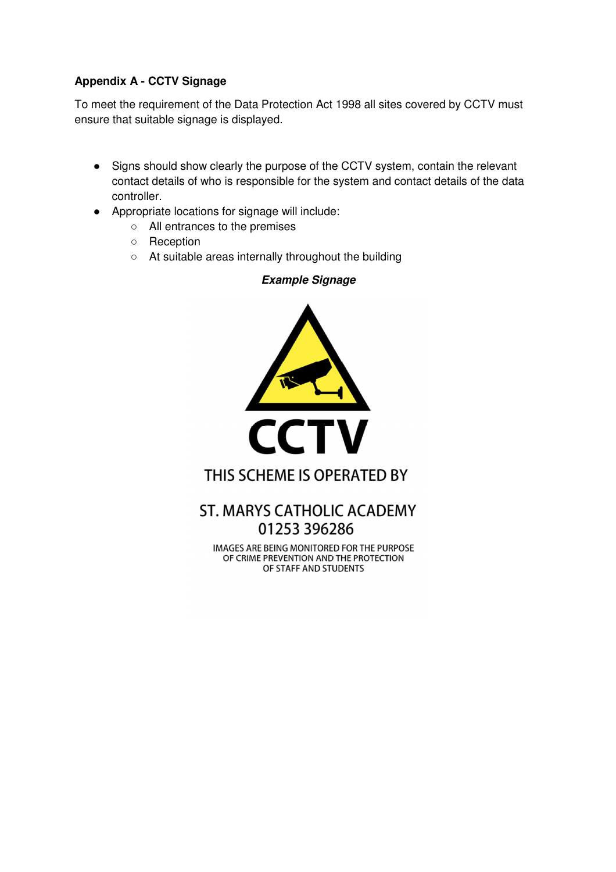# **Appendix A - CCTV Signage**

To meet the requirement of the Data Protection Act 1998 all sites covered by CCTV must ensure that suitable signage is displayed.

● Signs should show clearly the purpose of the CCTV system, contain the relevant contact details of who is responsible for the system and contact details of the data controller.

**Example Signage** 

- Appropriate locations for signage will include:
	- All entrances to the premises
	- Reception
	- At suitable areas internally throughout the building



# THIS SCHEME IS OPERATED BY

# **ST. MARYS CATHOLIC ACADEMY** 01253 396286

**IMAGES ARE BEING MONITORED FOR THE PURPOSE** OF CRIME PREVENTION AND THE PROTECTION OF STAFF AND STUDENTS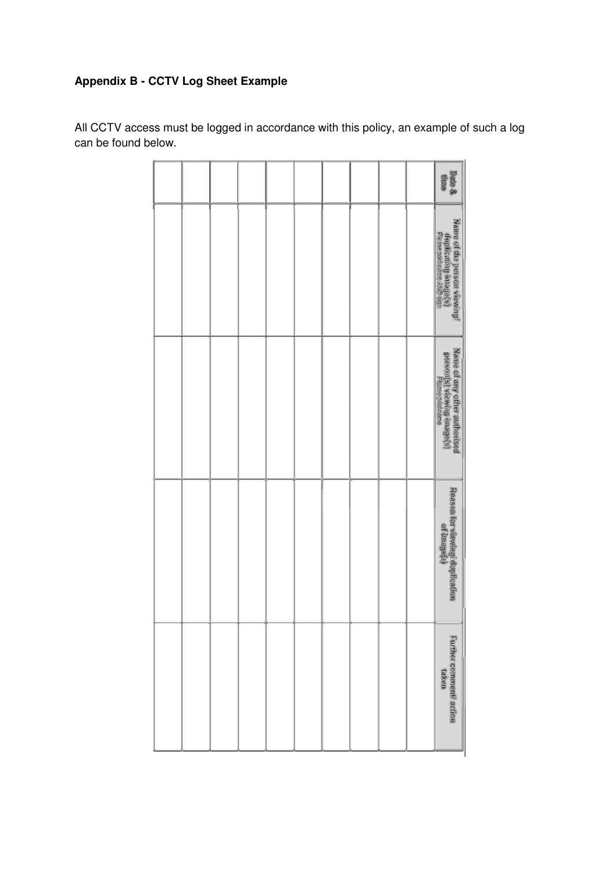# **Appendix B - CCTV Log Sheet Example**

|  |  |  |  |  | 新規 参<br>徽章                                                                           |
|--|--|--|--|--|--------------------------------------------------------------------------------------|
|  |  |  |  |  | Name of the person viewing?<br>Georgical introduction<br>Freme mostroom (1878)       |
|  |  |  |  |  | Nanje država i prostaval<br>Postavaj (prostavaljenova)<br>Postavaj (prostavaljenova) |
|  |  |  |  |  | Reitschlach (1986)<br>Reitschlach (1986)                                             |
|  |  |  |  |  | Further comment activit                                                              |

All CCTV access must be logged in accordance with this policy, an example of such a log can be found below.